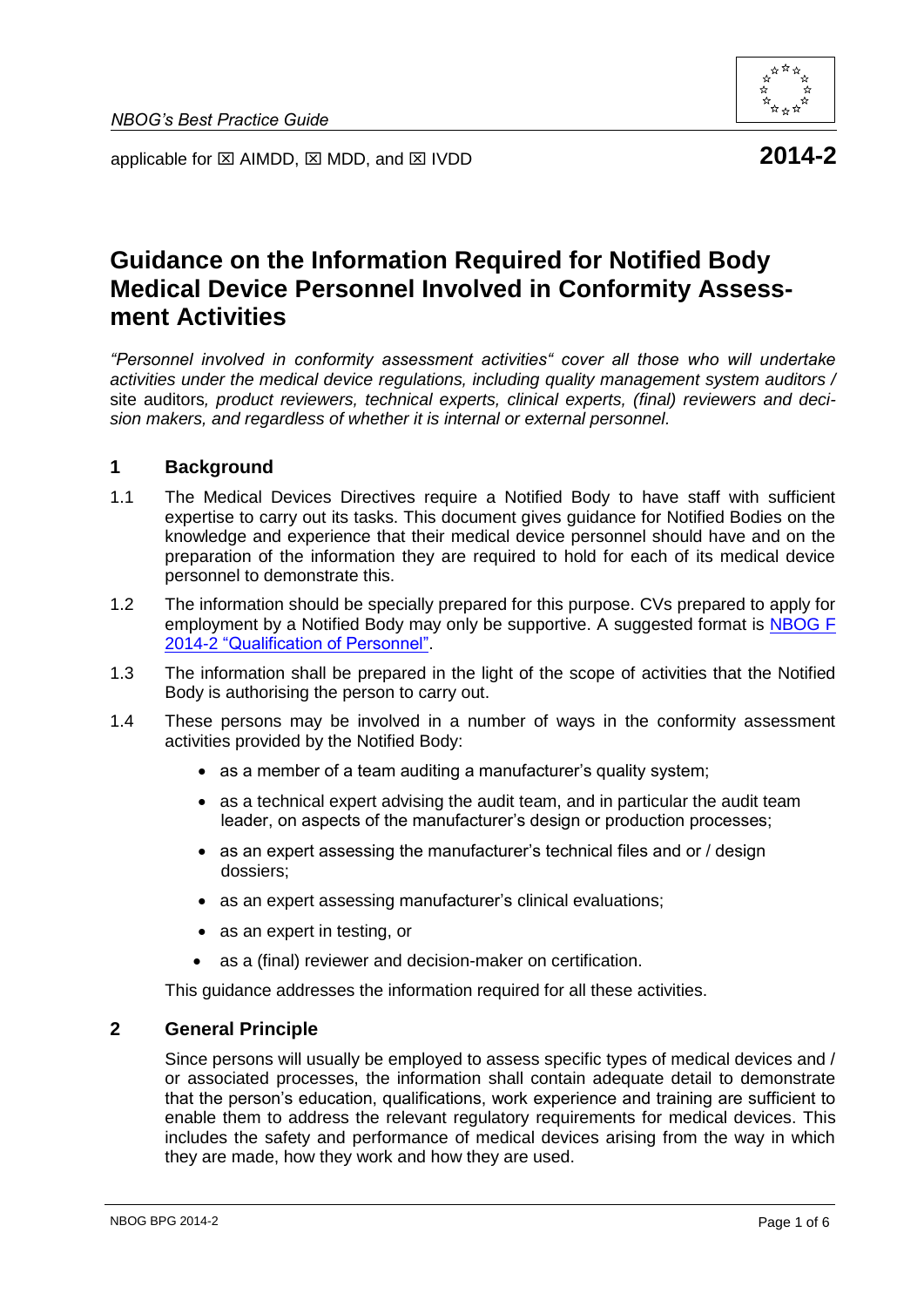

applicable for  $\boxtimes$  AIMDD,  $\boxtimes$  MDD, and  $\boxtimes$  IVDD **2014-2** 

# **Guidance on the Information Required for Notified Body Medical Device Personnel Involved in Conformity Assessment Activities**

*"Personnel involved in conformity assessment activities" cover all those who will undertake activities under the medical device regulations, including quality management system auditors /* site auditors*, product reviewers, technical experts, clinical experts, (final) reviewers and decision makers, and regardless of whether it is internal or external personnel.*

#### **1 Background**

- 1.1 The Medical Devices Directives require a Notified Body to have staff with sufficient expertise to carry out its tasks. This document gives guidance for Notified Bodies on the knowledge and experience that their medical device personnel should have and on the preparation of the information they are required to hold for each of its medical device personnel to demonstrate this.
- 1.2 The information should be specially prepared for this purpose. CVs prepared to apply for employment by a Notified Body may only be supportive. A suggested format is NBOG F 2014-2 ["Qualification of Personnel".](http://www.nbog.eu/recources/NBOG_F_2014_2.doc)
- 1.3 The information shall be prepared in the light of the scope of activities that the Notified Body is authorising the person to carry out.
- 1.4 These persons may be involved in a number of ways in the conformity assessment activities provided by the Notified Body:
	- as a member of a team auditing a manufacturer's quality system;
	- as a technical expert advising the audit team, and in particular the audit team leader, on aspects of the manufacturer's design or production processes;
	- as an expert assessing the manufacturer's technical files and or / design dossiers;
	- as an expert assessing manufacturer's clinical evaluations;
	- as an expert in testing, or
	- as a (final) reviewer and decision-maker on certification.

This guidance addresses the information required for all these activities.

#### **2 General Principle**

Since persons will usually be employed to assess specific types of medical devices and / or associated processes, the information shall contain adequate detail to demonstrate that the person's education, qualifications, work experience and training are sufficient to enable them to address the relevant regulatory requirements for medical devices. This includes the safety and performance of medical devices arising from the way in which they are made, how they work and how they are used.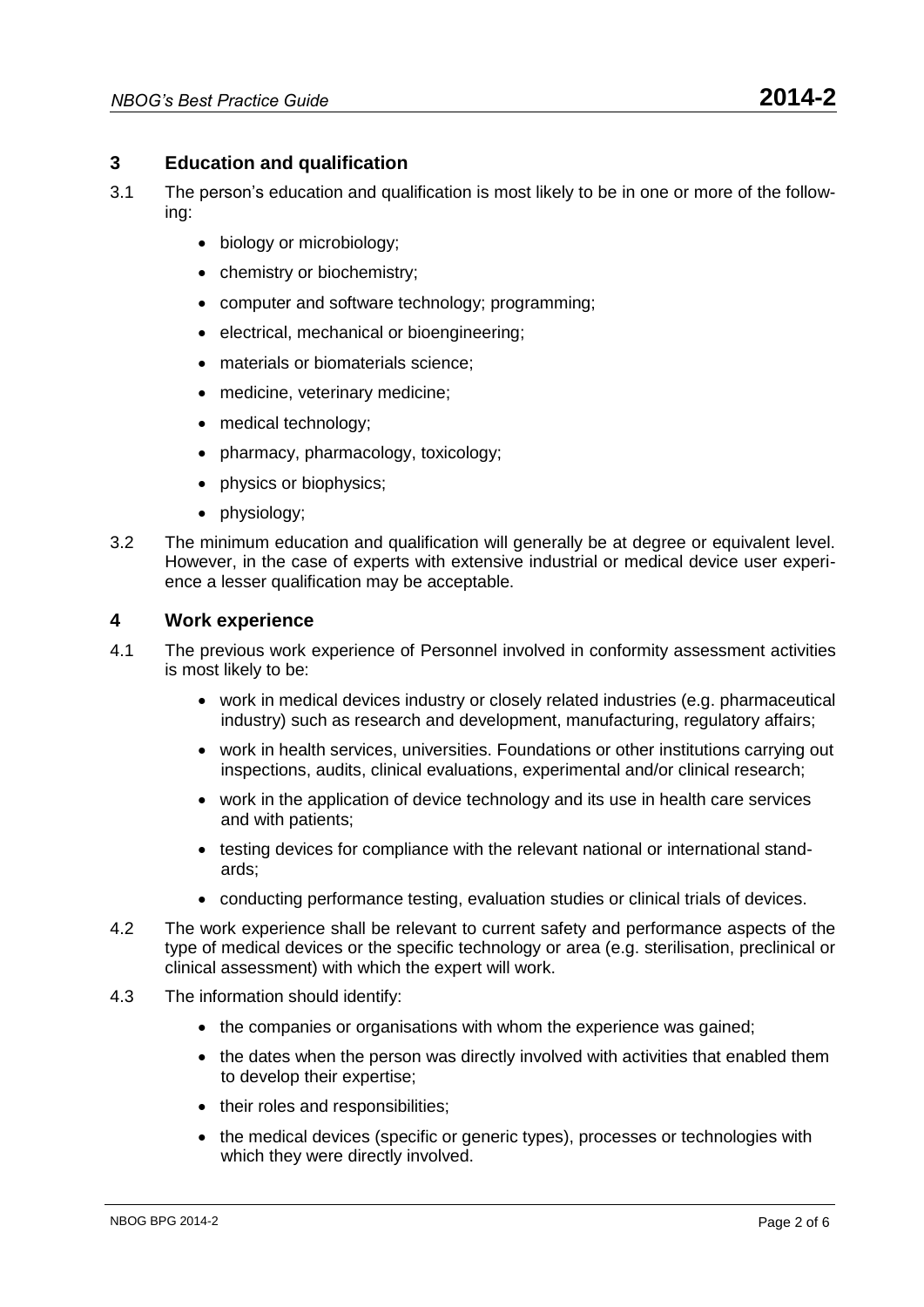- 3.1 The person's education and qualification is most likely to be in one or more of the following:
	- biology or microbiology;
	- chemistry or biochemistry;
	- computer and software technology; programming;
	- electrical, mechanical or bioengineering;
	- materials or biomaterials science;
	- medicine, veterinary medicine;
	- medical technology;
	- pharmacy, pharmacology, toxicology;
	- physics or biophysics;
	- physiology;
- 3.2 The minimum education and qualification will generally be at degree or equivalent level. However, in the case of experts with extensive industrial or medical device user experience a lesser qualification may be acceptable.

# **4 Work experience**

- 4.1 The previous work experience of Personnel involved in conformity assessment activities is most likely to be:
	- work in medical devices industry or closely related industries (e.g. pharmaceutical industry) such as research and development, manufacturing, regulatory affairs;
	- work in health services, universities. Foundations or other institutions carrying out inspections, audits, clinical evaluations, experimental and/or clinical research;
	- work in the application of device technology and its use in health care services and with patients;
	- testing devices for compliance with the relevant national or international standards;
	- conducting performance testing, evaluation studies or clinical trials of devices.
- 4.2 The work experience shall be relevant to current safety and performance aspects of the type of medical devices or the specific technology or area (e.g. sterilisation, preclinical or clinical assessment) with which the expert will work.
- 4.3 The information should identify:
	- the companies or organisations with whom the experience was gained;
	- the dates when the person was directly involved with activities that enabled them to develop their expertise;
	- their roles and responsibilities;
	- the medical devices (specific or generic types), processes or technologies with which they were directly involved.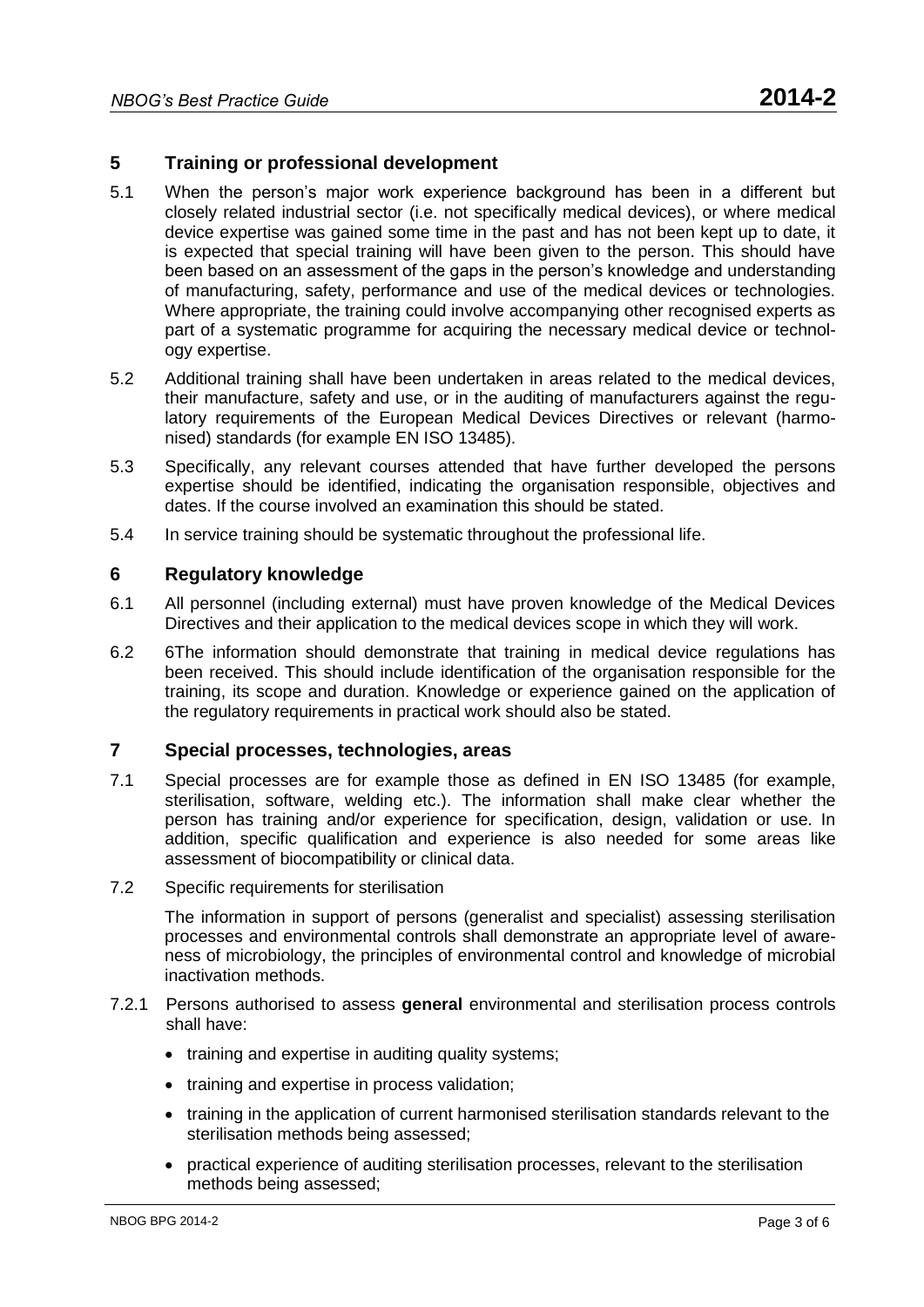# **5 Training or professional development**

- 5.1 When the person's major work experience background has been in a different but closely related industrial sector (i.e. not specifically medical devices), or where medical device expertise was gained some time in the past and has not been kept up to date, it is expected that special training will have been given to the person. This should have been based on an assessment of the gaps in the person's knowledge and understanding of manufacturing, safety, performance and use of the medical devices or technologies. Where appropriate, the training could involve accompanying other recognised experts as part of a systematic programme for acquiring the necessary medical device or technology expertise.
- 5.2 Additional training shall have been undertaken in areas related to the medical devices, their manufacture, safety and use, or in the auditing of manufacturers against the regulatory requirements of the European Medical Devices Directives or relevant (harmonised) standards (for example EN ISO 13485).
- 5.3 Specifically, any relevant courses attended that have further developed the persons expertise should be identified, indicating the organisation responsible, objectives and dates. If the course involved an examination this should be stated.
- 5.4 In service training should be systematic throughout the professional life.

#### **6 Regulatory knowledge**

- 6.1 All personnel (including external) must have proven knowledge of the Medical Devices Directives and their application to the medical devices scope in which they will work.
- 6.2 6The information should demonstrate that training in medical device regulations has been received. This should include identification of the organisation responsible for the training, its scope and duration. Knowledge or experience gained on the application of the regulatory requirements in practical work should also be stated.

# **7 Special processes, technologies, areas**

- 7.1 Special processes are for example those as defined in EN ISO 13485 (for example, sterilisation, software, welding etc.). The information shall make clear whether the person has training and/or experience for specification, design, validation or use. In addition, specific qualification and experience is also needed for some areas like assessment of biocompatibility or clinical data.
- 7.2 Specific requirements for sterilisation

The information in support of persons (generalist and specialist) assessing sterilisation processes and environmental controls shall demonstrate an appropriate level of awareness of microbiology, the principles of environmental control and knowledge of microbial inactivation methods.

- 7.2.1 Persons authorised to assess **general** environmental and sterilisation process controls shall have:
	- training and expertise in auditing quality systems;
	- training and expertise in process validation;
	- training in the application of current harmonised sterilisation standards relevant to the sterilisation methods being assessed;
	- practical experience of auditing sterilisation processes, relevant to the sterilisation methods being assessed;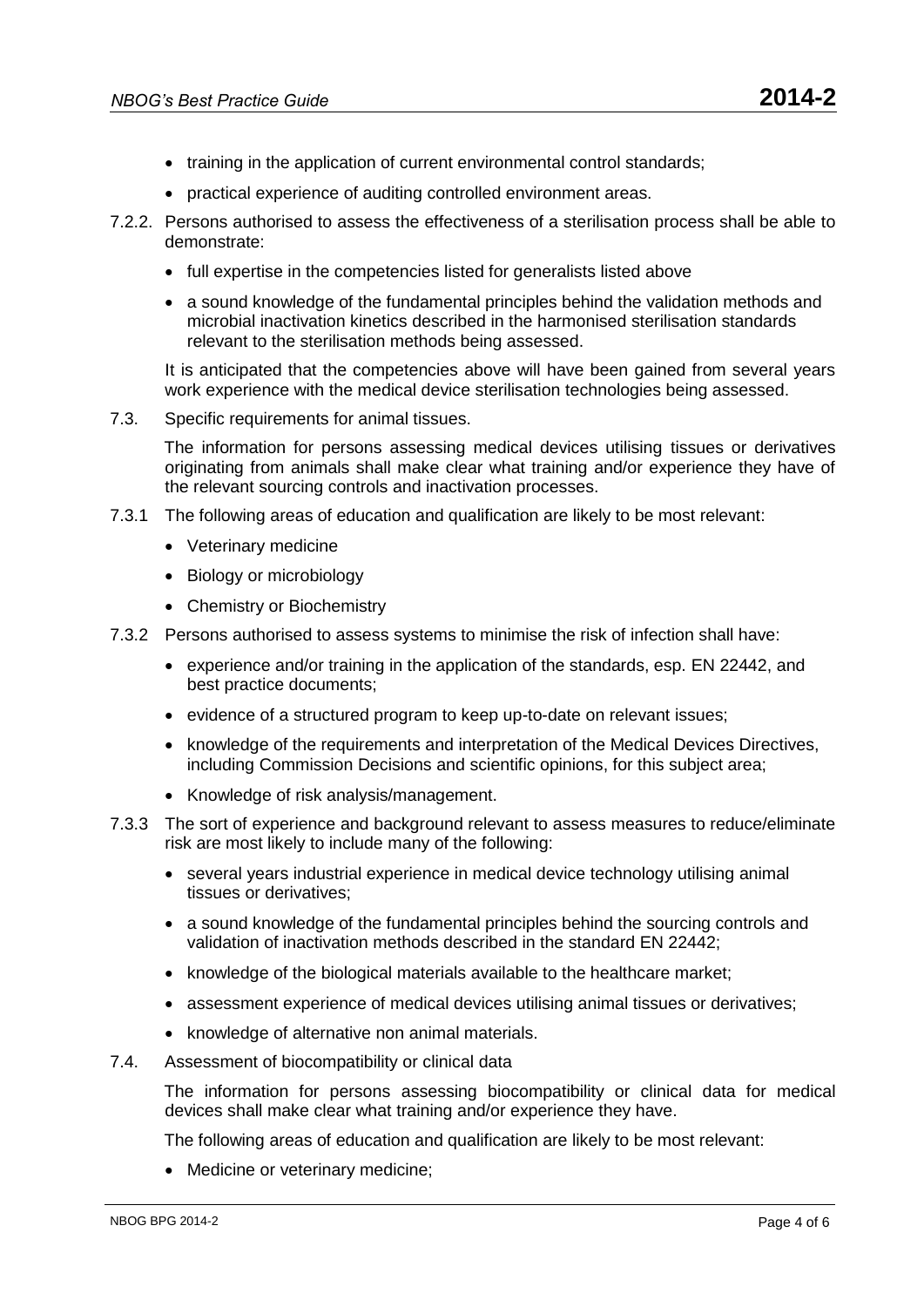- training in the application of current environmental control standards;
- practical experience of auditing controlled environment areas.
- 7.2.2. Persons authorised to assess the effectiveness of a sterilisation process shall be able to demonstrate:
	- full expertise in the competencies listed for generalists listed above
	- a sound knowledge of the fundamental principles behind the validation methods and microbial inactivation kinetics described in the harmonised sterilisation standards relevant to the sterilisation methods being assessed.

It is anticipated that the competencies above will have been gained from several years work experience with the medical device sterilisation technologies being assessed.

7.3. Specific requirements for animal tissues.

The information for persons assessing medical devices utilising tissues or derivatives originating from animals shall make clear what training and/or experience they have of the relevant sourcing controls and inactivation processes.

- 7.3.1 The following areas of education and qualification are likely to be most relevant:
	- Veterinary medicine
	- Biology or microbiology
	- Chemistry or Biochemistry
- 7.3.2 Persons authorised to assess systems to minimise the risk of infection shall have:
	- experience and/or training in the application of the standards, esp. EN 22442, and best practice documents;
	- evidence of a structured program to keep up-to-date on relevant issues;
	- knowledge of the requirements and interpretation of the Medical Devices Directives, including Commission Decisions and scientific opinions, for this subject area;
	- Knowledge of risk analysis/management.
- 7.3.3 The sort of experience and background relevant to assess measures to reduce/eliminate risk are most likely to include many of the following:
	- several years industrial experience in medical device technology utilising animal tissues or derivatives;
	- a sound knowledge of the fundamental principles behind the sourcing controls and validation of inactivation methods described in the standard EN 22442;
	- knowledge of the biological materials available to the healthcare market;
	- assessment experience of medical devices utilising animal tissues or derivatives;
	- knowledge of alternative non animal materials.
- 7.4. Assessment of biocompatibility or clinical data

The information for persons assessing biocompatibility or clinical data for medical devices shall make clear what training and/or experience they have.

The following areas of education and qualification are likely to be most relevant:

• Medicine or veterinary medicine: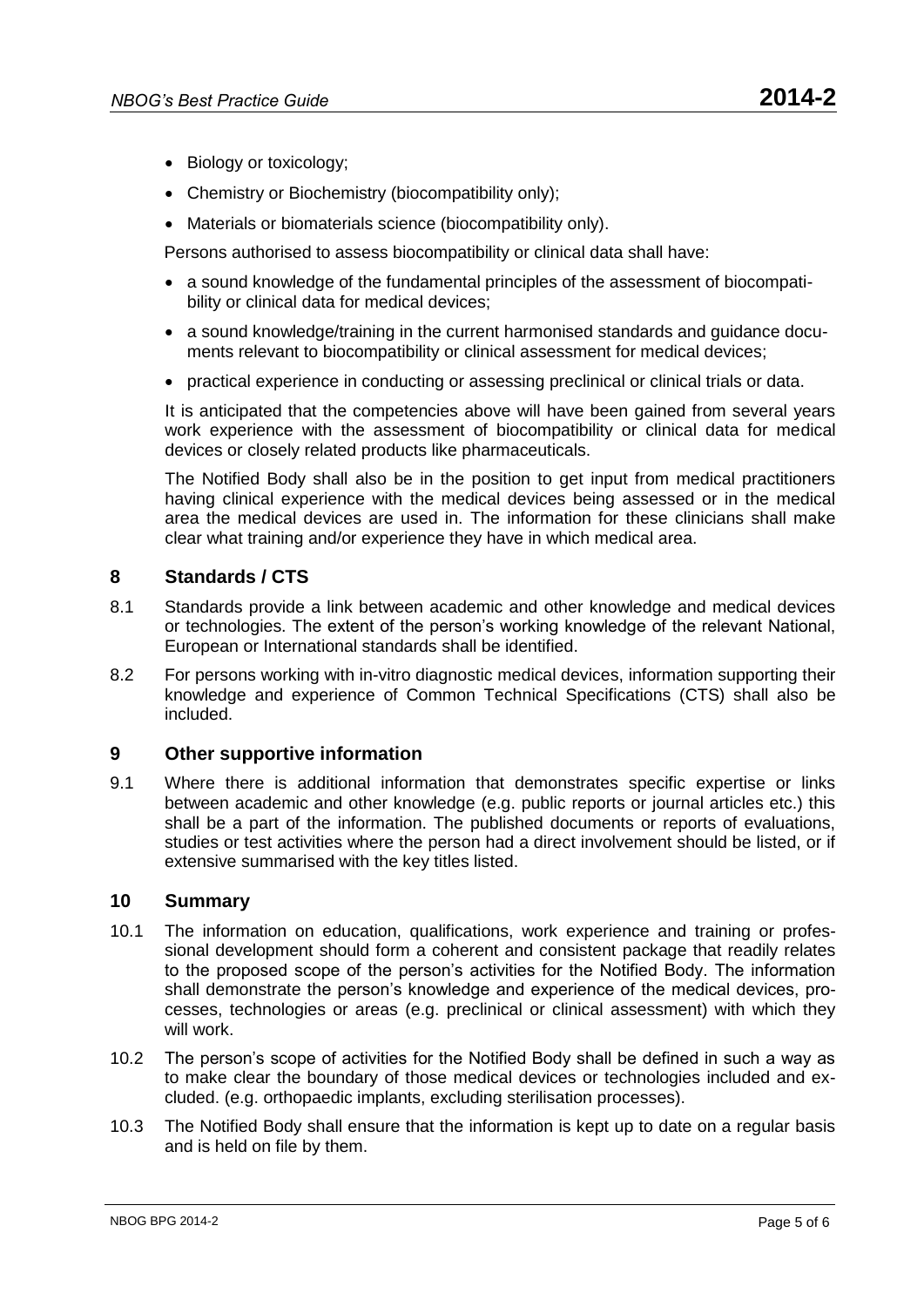- Biology or toxicology;
- Chemistry or Biochemistry (biocompatibility only);
- Materials or biomaterials science (biocompatibility only).

Persons authorised to assess biocompatibility or clinical data shall have:

- a sound knowledge of the fundamental principles of the assessment of biocompatibility or clinical data for medical devices;
- a sound knowledge/training in the current harmonised standards and guidance documents relevant to biocompatibility or clinical assessment for medical devices:
- practical experience in conducting or assessing preclinical or clinical trials or data.

It is anticipated that the competencies above will have been gained from several years work experience with the assessment of biocompatibility or clinical data for medical devices or closely related products like pharmaceuticals.

The Notified Body shall also be in the position to get input from medical practitioners having clinical experience with the medical devices being assessed or in the medical area the medical devices are used in. The information for these clinicians shall make clear what training and/or experience they have in which medical area.

### **8 Standards / CTS**

- 8.1 Standards provide a link between academic and other knowledge and medical devices or technologies. The extent of the person's working knowledge of the relevant National, European or International standards shall be identified.
- 8.2 For persons working with in-vitro diagnostic medical devices, information supporting their knowledge and experience of Common Technical Specifications (CTS) shall also be included.

#### **9 Other supportive information**

9.1 Where there is additional information that demonstrates specific expertise or links between academic and other knowledge (e.g. public reports or journal articles etc.) this shall be a part of the information. The published documents or reports of evaluations, studies or test activities where the person had a direct involvement should be listed, or if extensive summarised with the key titles listed.

#### **10 Summary**

- 10.1 The information on education, qualifications, work experience and training or professional development should form a coherent and consistent package that readily relates to the proposed scope of the person's activities for the Notified Body. The information shall demonstrate the person's knowledge and experience of the medical devices, processes, technologies or areas (e.g. preclinical or clinical assessment) with which they will work.
- 10.2 The person's scope of activities for the Notified Body shall be defined in such a way as to make clear the boundary of those medical devices or technologies included and excluded. (e.g. orthopaedic implants, excluding sterilisation processes).
- 10.3 The Notified Body shall ensure that the information is kept up to date on a regular basis and is held on file by them.